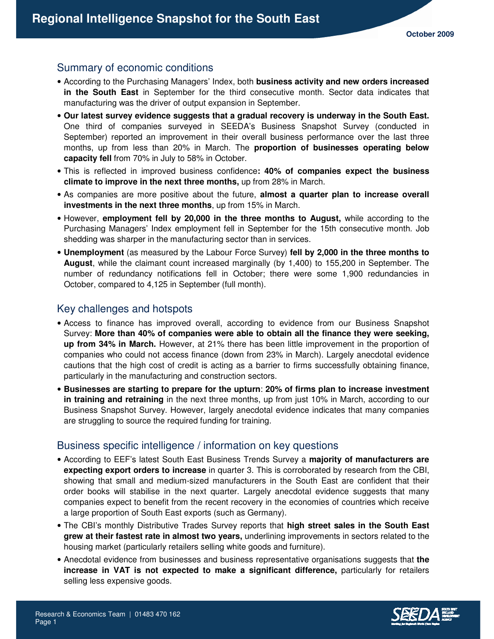# Summary of economic conditions

- According to the Purchasing Managers' Index, both **business activity and new orders increased in the South East** in September for the third consecutive month. Sector data indicates that manufacturing was the driver of output expansion in September.
- **Our latest survey evidence suggests that a gradual recovery is underway in the South East.** One third of companies surveyed in SEEDA's Business Snapshot Survey (conducted in September) reported an improvement in their overall business performance over the last three months, up from less than 20% in March. The **proportion of businesses operating below capacity fell** from 70% in July to 58% in October.
- This is reflected in improved business confidence**: 40% of companies expect the business climate to improve in the next three months,** up from 28% in March.
- As companies are more positive about the future, **almost a quarter plan to increase overall investments in the next three months**, up from 15% in March.
- However, **employment fell by 20,000 in the three months to August,** while according to the Purchasing Managers' Index employment fell in September for the 15th consecutive month. Job shedding was sharper in the manufacturing sector than in services.
- **Unemployment** (as measured by the Labour Force Survey) **fell by 2,000 in the three months to August**, while the claimant count increased marginally (by 1,400) to 155,200 in September. The number of redundancy notifications fell in October; there were some 1,900 redundancies in October, compared to 4,125 in September (full month).

# Key challenges and hotspots

- Access to finance has improved overall, according to evidence from our Business Snapshot Survey: **More than 40% of companies were able to obtain all the finance they were seeking, up from 34% in March.** However, at 21% there has been little improvement in the proportion of companies who could not access finance (down from 23% in March). Largely anecdotal evidence cautions that the high cost of credit is acting as a barrier to firms successfully obtaining finance, particularly in the manufacturing and construction sectors.
- **Businesses are starting to prepare for the upturn**: **20% of firms plan to increase investment in training and retraining** in the next three months, up from just 10% in March, according to our Business Snapshot Survey. However, largely anecdotal evidence indicates that many companies are struggling to source the required funding for training.

### Business specific intelligence / information on key questions

- According to EEF's latest South East Business Trends Survey a **majority of manufacturers are expecting export orders to increase** in quarter 3. This is corroborated by research from the CBI, showing that small and medium-sized manufacturers in the South East are confident that their order books will stabilise in the next quarter. Largely anecdotal evidence suggests that many companies expect to benefit from the recent recovery in the economies of countries which receive a large proportion of South East exports (such as Germany).
- The CBI's monthly Distributive Trades Survey reports that **high street sales in the South East grew at their fastest rate in almost two years,** underlining improvements in sectors related to the housing market (particularly retailers selling white goods and furniture).
- Anecdotal evidence from businesses and business representative organisations suggests that **the increase in VAT is not expected to make a significant difference,** particularly for retailers selling less expensive goods.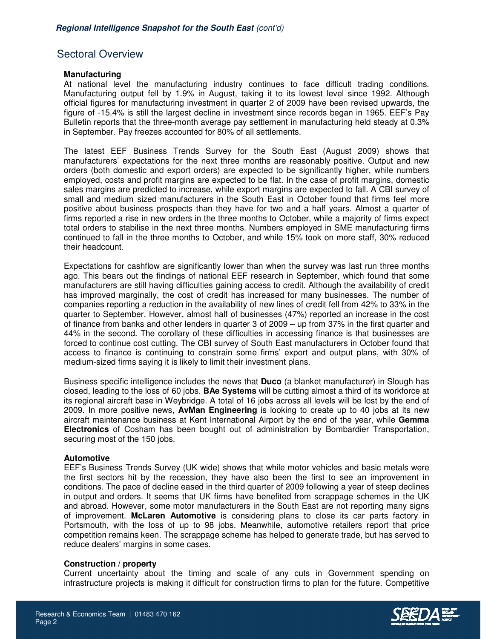# Sectoral Overview

#### **Manufacturing**

At national level the manufacturing industry continues to face difficult trading conditions. Manufacturing output fell by 1.9% in August, taking it to its lowest level since 1992. Although official figures for manufacturing investment in quarter 2 of 2009 have been revised upwards, the figure of -15.4% is still the largest decline in investment since records began in 1965. EEF's Pay Bulletin reports that the three-month average pay settlement in manufacturing held steady at 0.3% in September. Pay freezes accounted for 80% of all settlements.

The latest EEF Business Trends Survey for the South East (August 2009) shows that manufacturers' expectations for the next three months are reasonably positive. Output and new orders (both domestic and export orders) are expected to be significantly higher, while numbers employed, costs and profit margins are expected to be flat. In the case of profit margins, domestic sales margins are predicted to increase, while export margins are expected to fall. A CBI survey of small and medium sized manufacturers in the South East in October found that firms feel more positive about business prospects than they have for two and a half years. Almost a quarter of firms reported a rise in new orders in the three months to October, while a majority of firms expect total orders to stabilise in the next three months. Numbers employed in SME manufacturing firms continued to fall in the three months to October, and while 15% took on more staff, 30% reduced their headcount.

Expectations for cashflow are significantly lower than when the survey was last run three months ago. This bears out the findings of national EEF research in September, which found that some manufacturers are still having difficulties gaining access to credit. Although the availability of credit has improved marginally, the cost of credit has increased for many businesses. The number of companies reporting a reduction in the availability of new lines of credit fell from 42% to 33% in the quarter to September. However, almost half of businesses (47%) reported an increase in the cost of finance from banks and other lenders in quarter 3 of 2009 – up from 37% in the first quarter and 44% in the second. The corollary of these difficulties in accessing finance is that businesses are forced to continue cost cutting. The CBI survey of South East manufacturers in October found that access to finance is continuing to constrain some firms' export and output plans, with 30% of medium-sized firms saying it is likely to limit their investment plans.

Business specific intelligence includes the news that **Duco** (a blanket manufacturer) in Slough has closed, leading to the loss of 60 jobs. **BAe Systems** will be cutting almost a third of its workforce at its regional aircraft base in Weybridge. A total of 16 jobs across all levels will be lost by the end of 2009. In more positive news, **AvMan Engineering** is looking to create up to 40 jobs at its new aircraft maintenance business at Kent International Airport by the end of the year, while **Gemma Electronics** of Cosham has been bought out of administration by Bombardier Transportation, securing most of the 150 jobs.

#### **Automotive**

Page 2

EEF's Business Trends Survey (UK wide) shows that while motor vehicles and basic metals were the first sectors hit by the recession, they have also been the first to see an improvement in conditions. The pace of decline eased in the third quarter of 2009 following a year of steep declines in output and orders. It seems that UK firms have benefited from scrappage schemes in the UK and abroad. However, some motor manufacturers in the South East are not reporting many signs of improvement. **McLaren Automotive** is considering plans to close its car parts factory in Portsmouth, with the loss of up to 98 jobs. Meanwhile, automotive retailers report that price competition remains keen. The scrappage scheme has helped to generate trade, but has served to reduce dealers' margins in some cases.

#### **Construction / property**

Current uncertainty about the timing and scale of any cuts in Government spending on infrastructure projects is making it difficult for construction firms to plan for the future. Competitive

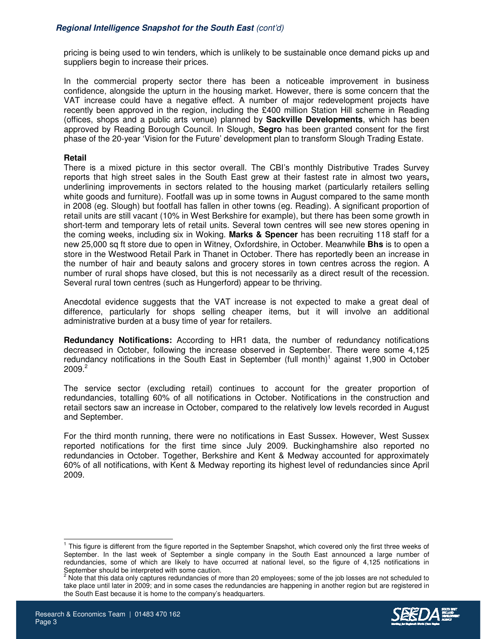pricing is being used to win tenders, which is unlikely to be sustainable once demand picks up and suppliers begin to increase their prices.

In the commercial property sector there has been a noticeable improvement in business confidence, alongside the upturn in the housing market. However, there is some concern that the VAT increase could have a negative effect. A number of major redevelopment projects have recently been approved in the region, including the £400 million Station Hill scheme in Reading (offices, shops and a public arts venue) planned by **Sackville Developments**, which has been approved by Reading Borough Council. In Slough, **Segro** has been granted consent for the first phase of the 20-year 'Vision for the Future' development plan to transform Slough Trading Estate.

#### **Retail**

There is a mixed picture in this sector overall. The CBI's monthly Distributive Trades Survey reports that high street sales in the South East grew at their fastest rate in almost two years**,**  underlining improvements in sectors related to the housing market (particularly retailers selling white goods and furniture). Footfall was up in some towns in August compared to the same month in 2008 (eg. Slough) but footfall has fallen in other towns (eg. Reading). A significant proportion of retail units are still vacant (10% in West Berkshire for example), but there has been some growth in short-term and temporary lets of retail units. Several town centres will see new stores opening in the coming weeks, including six in Woking. **Marks & Spencer** has been recruiting 118 staff for a new 25,000 sq ft store due to open in Witney, Oxfordshire, in October. Meanwhile **Bhs** is to open a store in the Westwood Retail Park in Thanet in October. There has reportedly been an increase in the number of hair and beauty salons and grocery stores in town centres across the region. A number of rural shops have closed, but this is not necessarily as a direct result of the recession. Several rural town centres (such as Hungerford) appear to be thriving.

Anecdotal evidence suggests that the VAT increase is not expected to make a great deal of difference, particularly for shops selling cheaper items, but it will involve an additional administrative burden at a busy time of year for retailers.

**Redundancy Notifications:** According to HR1 data, the number of redundancy notifications decreased in October, following the increase observed in September. There were some 4,125 redundancy notifications in the South East in September (full month)<sup>1</sup> against 1,900 in October  $2009.<sup>2</sup>$ 

The service sector (excluding retail) continues to account for the greater proportion of redundancies, totalling 60% of all notifications in October. Notifications in the construction and retail sectors saw an increase in October, compared to the relatively low levels recorded in August and September.

For the third month running, there were no notifications in East Sussex. However, West Sussex reported notifications for the first time since July 2009. Buckinghamshire also reported no redundancies in October. Together, Berkshire and Kent & Medway accounted for approximately 60% of all notifications, with Kent & Medway reporting its highest level of redundancies since April 2009.

Note that this data only captures redundancies of more than 20 employees; some of the job losses are not scheduled to take place until later in 2009; and in some cases the redundancies are happening in another region but are registered in the South East because it is home to the company's headquarters.



 $\overline{a}$ 

<sup>&</sup>lt;sup>1</sup> This figure is different from the figure reported in the September Snapshot, which covered only the first three weeks of September. In the last week of September a single company in the South East announced a large number of redundancies, some of which are likely to have occurred at national level, so the figure of 4,125 notifications in September should be interpreted with some caution.<br><sup>2</sup> Note that this data only cantures redundancies of m